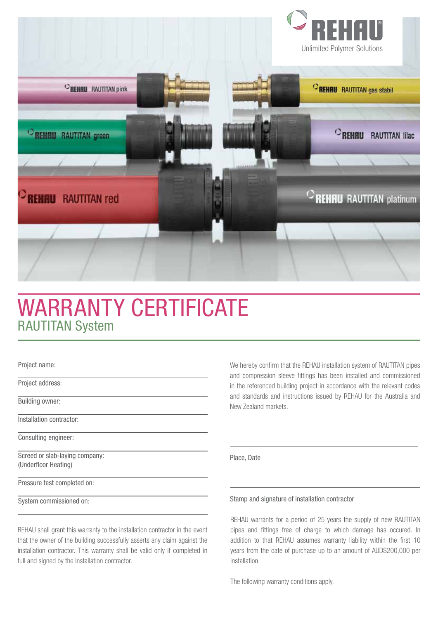

# WARRANTY CERTIFICATE RAUTITAN System

Project name:

Project address:

Building owner:

Installation contractor:

Consulting engineer:

Screed or slab-laying company: (Underfloor Heating)

Pressure test completed on:

System commissioned on:

REHAU shall grant this warranty to the installation contractor in the event that the owner of the building successfully asserts any claim against the installation contractor. This warranty shall be valid only if completed in full and signed by the installation contractor.

We hereby confirm that the REHAU installation system of RAUTITAN pipes and compression sleeve fittings has been installed and commissioned in the referenced building project in accordance with the relevant codes and standards and instructions issued by REHAU for the Australia and New Zealand markets.

Place, Date

# Stamp and signature of installation contractor

REHAU warrants for a period of 25 years the supply of new RAUTITAN pipes and fittings free of charge to which damage has occured. In addition to that REHAU assumes warranty liability within the first 10 years from the date of purchase up to an amount of AUD\$200,000 per installation.

The following warranty conditions apply.